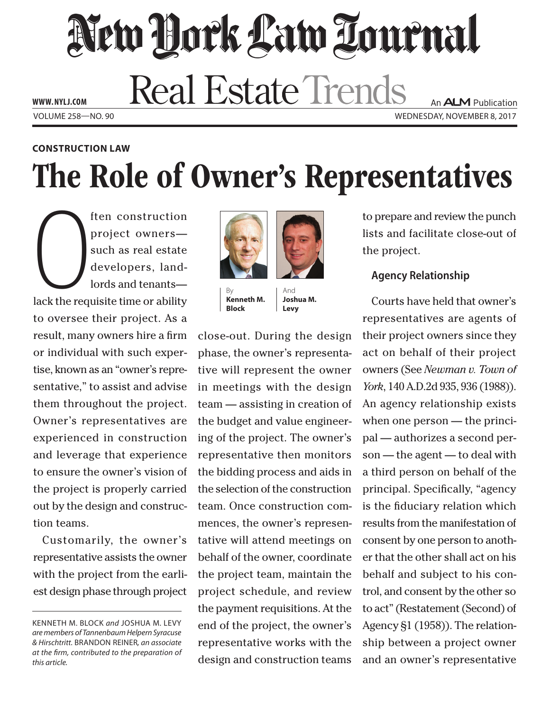# New York Law Tournal **Real Estate Trends**

**www. NYLJ.com**

An **ALM** Publication Volume 258—NO. 90 Wednesday, November 8, 2017

### **construction Law**

## The Role of Owner's Representatives

ack the req ften construction project owners such as real estate developers, landlords and tenants lack the requisite time or ability to oversee their project. As a result, many owners hire a firm or individual with such expertise, known as an "owner's representative," to assist and advise them throughout the project. Owner's representatives are experienced in construction and leverage that experience to ensure the owner's vision of the project is properly carried out by the design and construction teams.

Customarily, the owner's representative assists the owner with the project from the earliest design phase through project



By **Kenneth M. Block**

And **Joshua M. Levy**

close-out. During the design phase, the owner's representative will represent the owner in meetings with the design team — assisting in creation of the budget and value engineering of the project. The owner's representative then monitors the bidding process and aids in the selection of the construction team. Once construction commences, the owner's representative will attend meetings on behalf of the owner, coordinate the project team, maintain the project schedule, and review the payment requisitions. At the end of the project, the owner's representative works with the design and construction teams

to prepare and review the punch lists and facilitate close-out of the project.

### **Agency Relationship**

Courts have held that owner's representatives are agents of their project owners since they act on behalf of their project owners (See *Newman v. Town of York*, 140 A.D.2d 935, 936 (1988)). An agency relationship exists when one person — the principal — authorizes a second person — the agent — to deal with a third person on behalf of the principal. Specifically, "agency is the fiduciary relation which results from the manifestation of consent by one person to another that the other shall act on his behalf and subject to his control, and consent by the other so to act" (Restatement (Second) of Agency §1 (1958)). The relationship between a project owner and an owner's representative

Kenneth M. Block *and* Joshua M. Levy *are members of Tannenbaum Helpern Syracuse & Hirschtritt.* Brandon Reiner*, an associate at the firm, contributed to the preparation of this article.*